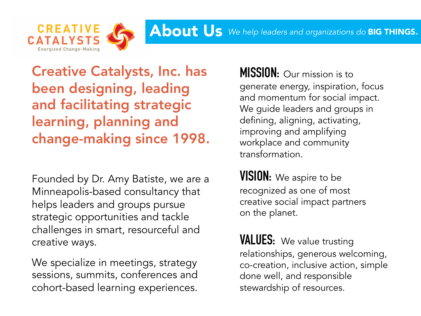

Creative Catalysts, Inc. has been designing, leading and facilitating strategic learning, planning and change-making since 1998.

Founded by Dr. Amy Batiste, we are a Minneapolis-based consultancy that helps leaders and groups pursue strategic opportunities and tackle challenges in smart, resourceful and creative ways.

We specialize in meetings, strategy sessions, summits, conferences and cohort-based learning experiences. **MISSION:** Our mission is to generate energy, inspiration, focus and momentum for social impact. We guide leaders and groups in defining, aligning, activating, improving and amplifying workplace and community transformation.

**VISION:** We aspire to be recognized as one of most creative social impact partners on the planet.

**VALUES:** We value trusting relationships, generous welcoming, co-creation, inclusive action, simple done well, and responsible stewardship of resources.